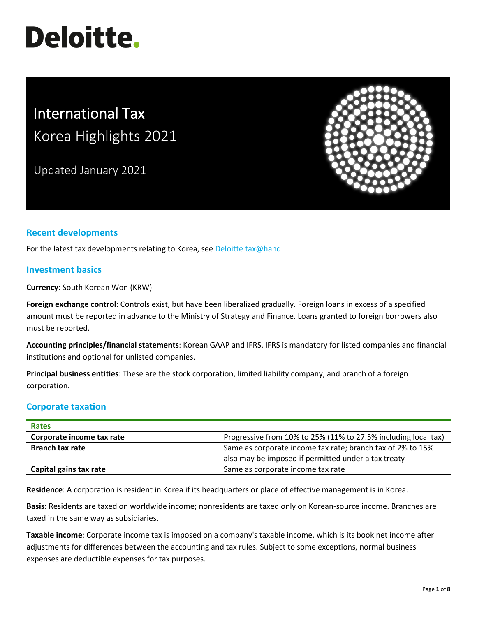# **Deloitte.**

# International Tax Korea Highlights 2021

Updated January 2021



# **Recent developments**

For the latest tax developments relating to Korea, see [Deloitte tax@hand.](https://www.taxathand.com/world-news/Korea)

# **Investment basics**

**Currency**: South Korean Won (KRW)

**Foreign exchange control**: Controls exist, but have been liberalized gradually. Foreign loans in excess of a specified amount must be reported in advance to the Ministry of Strategy and Finance. Loans granted to foreign borrowers also must be reported.

**Accounting principles/financial statements**: Korean GAAP and IFRS. IFRS is mandatory for listed companies and financial institutions and optional for unlisted companies.

**Principal business entities**: These are the stock corporation, limited liability company, and branch of a foreign corporation.

# **Corporate taxation**

| <b>Rates</b>              |                                                                |  |
|---------------------------|----------------------------------------------------------------|--|
| Corporate income tax rate | Progressive from 10% to 25% (11% to 27.5% including local tax) |  |
| <b>Branch tax rate</b>    | Same as corporate income tax rate; branch tax of 2% to 15%     |  |
|                           | also may be imposed if permitted under a tax treaty            |  |
| Capital gains tax rate    | Same as corporate income tax rate                              |  |

**Residence**: A corporation is resident in Korea if its headquarters or place of effective management is in Korea.

**Basis**: Residents are taxed on worldwide income; nonresidents are taxed only on Korean-source income. Branches are taxed in the same way as subsidiaries.

**Taxable income**: Corporate income tax is imposed on a company's taxable income, which is its book net income after adjustments for differences between the accounting and tax rules. Subject to some exceptions, normal business expenses are deductible expenses for tax purposes.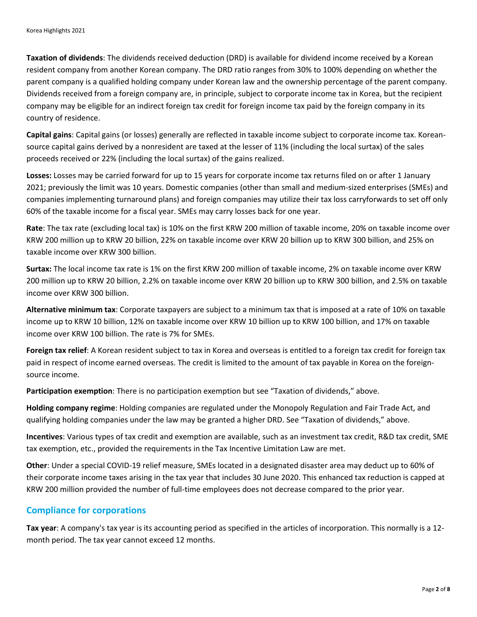**Taxation of dividends**: The dividends received deduction (DRD) is available for dividend income received by a Korean resident company from another Korean company. The DRD ratio ranges from 30% to 100% depending on whether the parent company is a qualified holding company under Korean law and the ownership percentage of the parent company. Dividends received from a foreign company are, in principle, subject to corporate income tax in Korea, but the recipient company may be eligible for an indirect foreign tax credit for foreign income tax paid by the foreign company in its country of residence.

**Capital gains**: Capital gains (or losses) generally are reflected in taxable income subject to corporate income tax. Koreansource capital gains derived by a nonresident are taxed at the lesser of 11% (including the local surtax) of the sales proceeds received or 22% (including the local surtax) of the gains realized.

**Losses:** Losses may be carried forward for up to 15 years for corporate income tax returns filed on or after 1 January 2021; previously the limit was 10 years. Domestic companies (other than small and medium-sized enterprises (SMEs) and companies implementing turnaround plans) and foreign companies may utilize their tax loss carryforwards to set off only 60% of the taxable income for a fiscal year. SMEs may carry losses back for one year.

**Rate**: The tax rate (excluding local tax) is 10% on the first KRW 200 million of taxable income, 20% on taxable income over KRW 200 million up to KRW 20 billion, 22% on taxable income over KRW 20 billion up to KRW 300 billion, and 25% on taxable income over KRW 300 billion.

**Surtax:** The local income tax rate is 1% on the first KRW 200 million of taxable income, 2% on taxable income over KRW 200 million up to KRW 20 billion, 2.2% on taxable income over KRW 20 billion up to KRW 300 billion, and 2.5% on taxable income over KRW 300 billion.

**Alternative minimum tax**: Corporate taxpayers are subject to a minimum tax that is imposed at a rate of 10% on taxable income up to KRW 10 billion, 12% on taxable income over KRW 10 billion up to KRW 100 billion, and 17% on taxable income over KRW 100 billion. The rate is 7% for SMEs.

**Foreign tax relief**: A Korean resident subject to tax in Korea and overseas is entitled to a foreign tax credit for foreign tax paid in respect of income earned overseas. The credit is limited to the amount of tax payable in Korea on the foreignsource income.

**Participation exemption**: There is no participation exemption but see "Taxation of dividends," above.

**Holding company regime**: Holding companies are regulated under the Monopoly Regulation and Fair Trade Act, and qualifying holding companies under the law may be granted a higher DRD. See "Taxation of dividends," above.

**Incentives**: Various types of tax credit and exemption are available, such as an investment tax credit, R&D tax credit, SME tax exemption, etc., provided the requirements in the Tax Incentive Limitation Law are met.

**Other**: Under a special COVID-19 relief measure, SMEs located in a designated disaster area may deduct up to 60% of their corporate income taxes arising in the tax year that includes 30 June 2020. This enhanced tax reduction is capped at KRW 200 million provided the number of full-time employees does not decrease compared to the prior year.

# **Compliance for corporations**

**Tax year**: A company's tax year is its accounting period as specified in the articles of incorporation. This normally is a 12 month period. The tax year cannot exceed 12 months.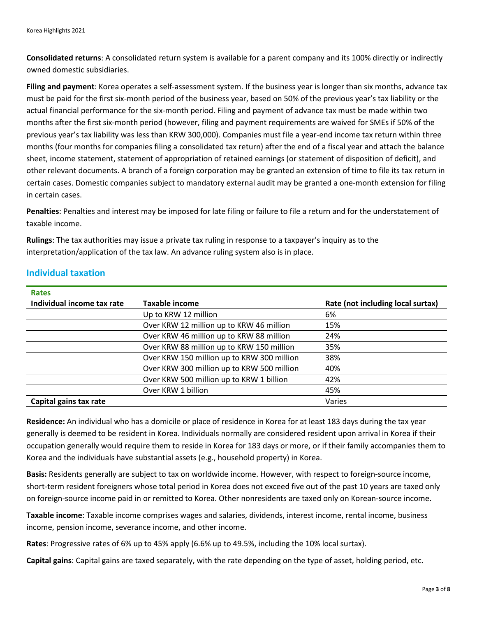**Consolidated returns**: A consolidated return system is available for a parent company and its 100% directly or indirectly owned domestic subsidiaries.

**Filing and payment**: Korea operates a self-assessment system. If the business year is longer than six months, advance tax must be paid for the first six-month period of the business year, based on 50% of the previous year's tax liability or the actual financial performance for the six-month period. Filing and payment of advance tax must be made within two months after the first six-month period (however, filing and payment requirements are waived for SMEs if 50% of the previous year's tax liability was less than KRW 300,000). Companies must file a year-end income tax return within three months (four months for companies filing a consolidated tax return) after the end of a fiscal year and attach the balance sheet, income statement, statement of appropriation of retained earnings (or statement of disposition of deficit), and other relevant documents. A branch of a foreign corporation may be granted an extension of time to file its tax return in certain cases. Domestic companies subject to mandatory external audit may be granted a one-month extension for filing in certain cases.

**Penalties**: Penalties and interest may be imposed for late filing or failure to file a return and for the understatement of taxable income.

**Rulings**: The tax authorities may issue a private tax ruling in response to a taxpayer's inquiry as to the interpretation/application of the tax law. An advance ruling system also is in place.

| <b>Rates</b>               |                                            |                                   |
|----------------------------|--------------------------------------------|-----------------------------------|
| Individual income tax rate | <b>Taxable income</b>                      | Rate (not including local surtax) |
|                            | Up to KRW 12 million                       | 6%                                |
|                            | Over KRW 12 million up to KRW 46 million   | 15%                               |
|                            | Over KRW 46 million up to KRW 88 million   | 24%                               |
|                            | Over KRW 88 million up to KRW 150 million  | 35%                               |
|                            | Over KRW 150 million up to KRW 300 million | 38%                               |
|                            | Over KRW 300 million up to KRW 500 million | 40%                               |
|                            | Over KRW 500 million up to KRW 1 billion   | 42%                               |
|                            | Over KRW 1 billion                         | 45%                               |
| Capital gains tax rate     |                                            | Varies                            |

# **Individual taxation**

**Residence:** An individual who has a domicile or place of residence in Korea for at least 183 days during the tax year generally is deemed to be resident in Korea. Individuals normally are considered resident upon arrival in Korea if their occupation generally would require them to reside in Korea for 183 days or more, or if their family accompanies them to Korea and the individuals have substantial assets (e.g., household property) in Korea.

**Basis:** Residents generally are subject to tax on worldwide income. However, with respect to foreign-source income, short-term resident foreigners whose total period in Korea does not exceed five out of the past 10 years are taxed only on foreign-source income paid in or remitted to Korea. Other nonresidents are taxed only on Korean-source income.

**Taxable income**: Taxable income comprises wages and salaries, dividends, interest income, rental income, business income, pension income, severance income, and other income.

**Rates**: Progressive rates of 6% up to 45% apply (6.6% up to 49.5%, including the 10% local surtax).

**Capital gains**: Capital gains are taxed separately, with the rate depending on the type of asset, holding period, etc.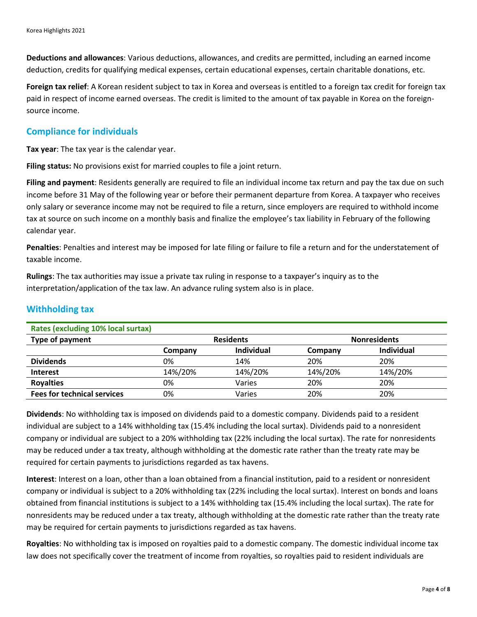**Deductions and allowances**: Various deductions, allowances, and credits are permitted, including an earned income deduction, credits for qualifying medical expenses, certain educational expenses, certain charitable donations, etc.

**Foreign tax relief**: A Korean resident subject to tax in Korea and overseas is entitled to a foreign tax credit for foreign tax paid in respect of income earned overseas. The credit is limited to the amount of tax payable in Korea on the foreignsource income.

# **Compliance for individuals**

**Tax year**: The tax year is the calendar year.

**Filing status:** No provisions exist for married couples to file a joint return.

**Filing and payment**: Residents generally are required to file an individual income tax return and pay the tax due on such income before 31 May of the following year or before their permanent departure from Korea. A taxpayer who receives only salary or severance income may not be required to file a return, since employers are required to withhold income tax at source on such income on a monthly basis and finalize the employee's tax liability in February of the following calendar year.

**Penalties**: Penalties and interest may be imposed for late filing or failure to file a return and for the understatement of taxable income.

**Rulings**: The tax authorities may issue a private tax ruling in response to a taxpayer's inquiry as to the interpretation/application of the tax law. An advance ruling system also is in place.

| Rates (excluding 10% local surtax) |         |                  |         |                     |  |
|------------------------------------|---------|------------------|---------|---------------------|--|
| Type of payment                    |         | <b>Residents</b> |         | <b>Nonresidents</b> |  |
|                                    | Company | Individual       | Company | <b>Individual</b>   |  |
| <b>Dividends</b>                   | 0%      | 14%              | 20%     | 20%                 |  |
| <b>Interest</b>                    | 14%/20% | 14%/20%          | 14%/20% | 14%/20%             |  |
| <b>Royalties</b>                   | 0%      | Varies           | 20%     | 20%                 |  |
| <b>Fees for technical services</b> | 0%      | Varies           | 20%     | 20%                 |  |

#### **Withholding tax**

**Dividends**: No withholding tax is imposed on dividends paid to a domestic company. Dividends paid to a resident individual are subject to a 14% withholding tax (15.4% including the local surtax). Dividends paid to a nonresident company or individual are subject to a 20% withholding tax (22% including the local surtax). The rate for nonresidents may be reduced under a tax treaty, although withholding at the domestic rate rather than the treaty rate may be required for certain payments to jurisdictions regarded as tax havens.

**Interest**: Interest on a loan, other than a loan obtained from a financial institution, paid to a resident or nonresident company or individual is subject to a 20% withholding tax (22% including the local surtax). Interest on bonds and loans obtained from financial institutions is subject to a 14% withholding tax (15.4% including the local surtax). The rate for nonresidents may be reduced under a tax treaty, although withholding at the domestic rate rather than the treaty rate may be required for certain payments to jurisdictions regarded as tax havens.

**Royalties**: No withholding tax is imposed on royalties paid to a domestic company. The domestic individual income tax law does not specifically cover the treatment of income from royalties, so royalties paid to resident individuals are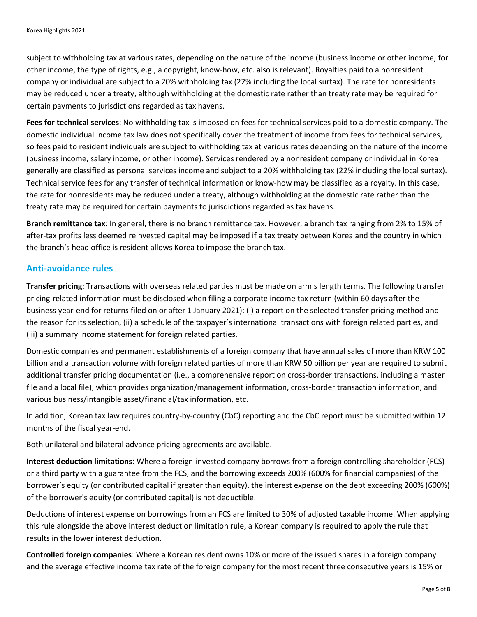subject to withholding tax at various rates, depending on the nature of the income (business income or other income; for other income, the type of rights, e.g., a copyright, know-how, etc. also is relevant). Royalties paid to a nonresident company or individual are subject to a 20% withholding tax (22% including the local surtax). The rate for nonresidents may be reduced under a treaty, although withholding at the domestic rate rather than treaty rate may be required for certain payments to jurisdictions regarded as tax havens.

**Fees for technical services**: No withholding tax is imposed on fees for technical services paid to a domestic company. The domestic individual income tax law does not specifically cover the treatment of income from fees for technical services, so fees paid to resident individuals are subject to withholding tax at various rates depending on the nature of the income (business income, salary income, or other income). Services rendered by a nonresident company or individual in Korea generally are classified as personal services income and subject to a 20% withholding tax (22% including the local surtax). Technical service fees for any transfer of technical information or know-how may be classified as a royalty. In this case, the rate for nonresidents may be reduced under a treaty, although withholding at the domestic rate rather than the treaty rate may be required for certain payments to jurisdictions regarded as tax havens.

**Branch remittance tax**: In general, there is no branch remittance tax. However, a branch tax ranging from 2% to 15% of after-tax profits less deemed reinvested capital may be imposed if a tax treaty between Korea and the country in which the branch's head office is resident allows Korea to impose the branch tax.

# **Anti-avoidance rules**

**Transfer pricing**: Transactions with overseas related parties must be made on arm's length terms. The following transfer pricing-related information must be disclosed when filing a corporate income tax return (within 60 days after the business year-end for returns filed on or after 1 January 2021): (i) a report on the selected transfer pricing method and the reason for its selection, (ii) a schedule of the taxpayer's international transactions with foreign related parties, and (iii) a summary income statement for foreign related parties.

Domestic companies and permanent establishments of a foreign company that have annual sales of more than KRW 100 billion and a transaction volume with foreign related parties of more than KRW 50 billion per year are required to submit additional transfer pricing documentation (i.e., a comprehensive report on cross-border transactions, including a master file and a local file), which provides organization/management information, cross-border transaction information, and various business/intangible asset/financial/tax information, etc.

In addition, Korean tax law requires country-by-country (CbC) reporting and the CbC report must be submitted within 12 months of the fiscal year-end.

Both unilateral and bilateral advance pricing agreements are available.

**Interest deduction limitations**: Where a foreign-invested company borrows from a foreign controlling shareholder (FCS) or a third party with a guarantee from the FCS, and the borrowing exceeds 200% (600% for financial companies) of the borrower's equity (or contributed capital if greater than equity), the interest expense on the debt exceeding 200% (600%) of the borrower's equity (or contributed capital) is not deductible.

Deductions of interest expense on borrowings from an FCS are limited to 30% of adjusted taxable income. When applying this rule alongside the above interest deduction limitation rule, a Korean company is required to apply the rule that results in the lower interest deduction.

**Controlled foreign companies**: Where a Korean resident owns 10% or more of the issued shares in a foreign company and the average effective income tax rate of the foreign company for the most recent three consecutive years is 15% or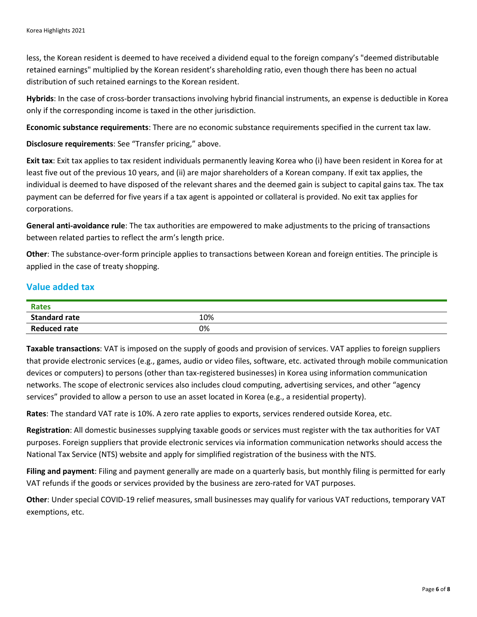less, the Korean resident is deemed to have received a dividend equal to the foreign company's "deemed distributable retained earnings" multiplied by the Korean resident's shareholding ratio, even though there has been no actual distribution of such retained earnings to the Korean resident.

**Hybrids**: In the case of cross-border transactions involving hybrid financial instruments, an expense is deductible in Korea only if the corresponding income is taxed in the other jurisdiction.

**Economic substance requirements**: There are no economic substance requirements specified in the current tax law.

**Disclosure requirements**: See "Transfer pricing," above.

**Exit tax**: Exit tax applies to tax resident individuals permanently leaving Korea who (i) have been resident in Korea for at least five out of the previous 10 years, and (ii) are major shareholders of a Korean company. If exit tax applies, the individual is deemed to have disposed of the relevant shares and the deemed gain is subject to capital gains tax. The tax payment can be deferred for five years if a tax agent is appointed or collateral is provided. No exit tax applies for corporations.

**General anti-avoidance rule**: The tax authorities are empowered to make adjustments to the pricing of transactions between related parties to reflect the arm's length price.

**Other**: The substance-over-form principle applies to transactions between Korean and foreign entities. The principle is applied in the case of treaty shopping.

# **Value added tax**

| <b>Rates</b>         |     |
|----------------------|-----|
| <b>Standard rate</b> | 10% |
| <b>Reduced rate</b>  | 0%  |

**Taxable transactions**: VAT is imposed on the supply of goods and provision of services. VAT applies to foreign suppliers that provide electronic services (e.g., games, audio or video files, software, etc. activated through mobile communication devices or computers) to persons (other than tax-registered businesses) in Korea using information communication networks. The scope of electronic services also includes cloud computing, advertising services, and other "agency services" provided to allow a person to use an asset located in Korea (e.g., a residential property).

**Rates**: The standard VAT rate is 10%. A zero rate applies to exports, services rendered outside Korea, etc.

**Registration**: All domestic businesses supplying taxable goods or services must register with the tax authorities for VAT purposes. Foreign suppliers that provide electronic services via information communication networks should access the National Tax Service (NTS) website and apply for simplified registration of the business with the NTS.

**Filing and payment**: Filing and payment generally are made on a quarterly basis, but monthly filing is permitted for early VAT refunds if the goods or services provided by the business are zero-rated for VAT purposes.

**Other**: Under special COVID-19 relief measures, small businesses may qualify for various VAT reductions, temporary VAT exemptions, etc.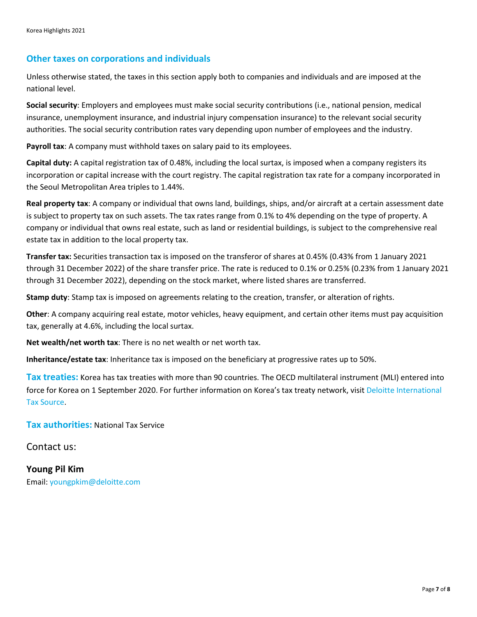#### **Other taxes on corporations and individuals**

Unless otherwise stated, the taxes in this section apply both to companies and individuals and are imposed at the national level.

**Social security**: Employers and employees must make social security contributions (i.e., national pension, medical insurance, unemployment insurance, and industrial injury compensation insurance) to the relevant social security authorities. The social security contribution rates vary depending upon number of employees and the industry.

**Payroll tax**: A company must withhold taxes on salary paid to its employees.

**Capital duty:** A capital registration tax of 0.48%, including the local surtax, is imposed when a company registers its incorporation or capital increase with the court registry. The capital registration tax rate for a company incorporated in the Seoul Metropolitan Area triples to 1.44%.

**Real property tax**: A company or individual that owns land, buildings, ships, and/or aircraft at a certain assessment date is subject to property tax on such assets. The tax rates range from 0.1% to 4% depending on the type of property. A company or individual that owns real estate, such as land or residential buildings, is subject to the comprehensive real estate tax in addition to the local property tax.

**Transfer tax:** Securities transaction tax is imposed on the transferor of shares at 0.45% (0.43% from 1 January 2021 through 31 December 2022) of the share transfer price. The rate is reduced to 0.1% or 0.25% (0.23% from 1 January 2021 through 31 December 2022), depending on the stock market, where listed shares are transferred.

**Stamp duty**: Stamp tax is imposed on agreements relating to the creation, transfer, or alteration of rights.

**Other**: A company acquiring real estate, motor vehicles, heavy equipment, and certain other items must pay acquisition tax, generally at 4.6%, including the local surtax.

**Net wealth/net worth tax**: There is no net wealth or net worth tax.

**Inheritance/estate tax**: Inheritance tax is imposed on the beneficiary at progressive rates up to 50%.

**Tax treaties:** Korea has tax treaties with more than 90 countries. The OECD multilateral instrument (MLI) entered into force for Korea on 1 September 2020. For further information on Korea's tax treaty network, visi[t Deloitte International](https://www.dits.deloitte.com/#Jurisdiction/70)  [Tax Source.](https://www.dits.deloitte.com/#Jurisdiction/70)

**Tax authorities:** National Tax Service

Contact us:

**Young Pil Kim** Email: [youngpkim@deloitte.com](mailto:youngpkim@deloitte.com)